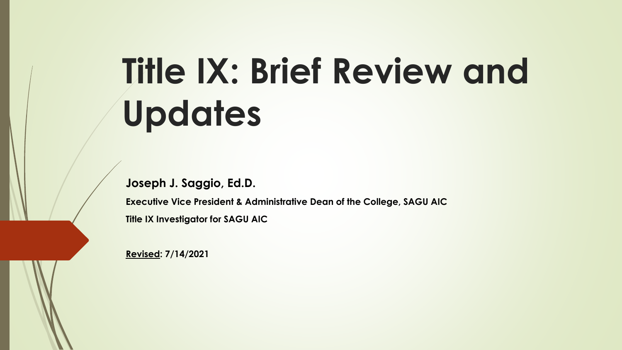# **Title IX: Brief Review and Updates**

**Joseph J. Saggio, Ed.D.**

**Executive Vice President & Administrative Dean of the College, SAGU AIC Title IX Investigator for SAGU AIC**

**Revised: 7/14/2021**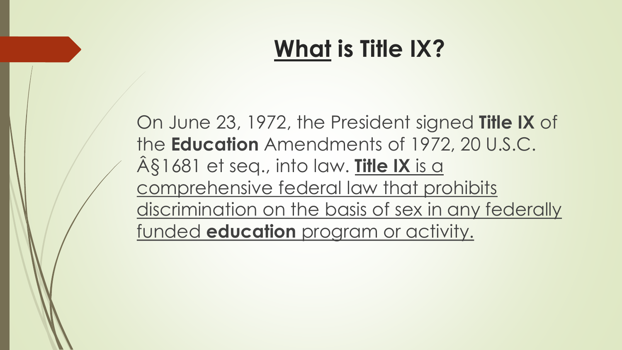### **What is Title IX?**

On June 23, 1972, the President signed **Title IX** of the **Education** Amendments of 1972, 20 U.S.C. §1681 et seq., into law. **Title IX** is a comprehensive federal law that prohibits discrimination on the basis of sex in any federally funded **education** program or activity.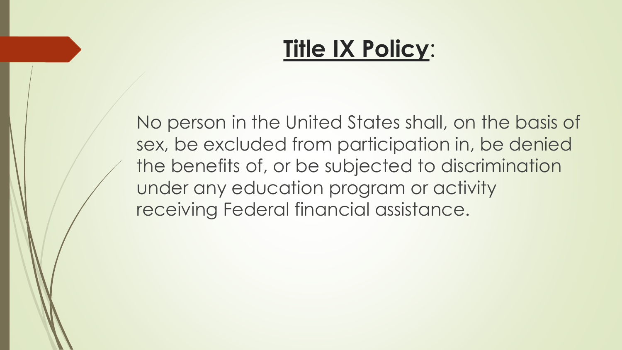#### **Title IX Policy**:

No person in the United States shall, on the basis of sex, be excluded from participation in, be denied the benefits of, or be subjected to discrimination under any education program or activity receiving Federal financial assistance.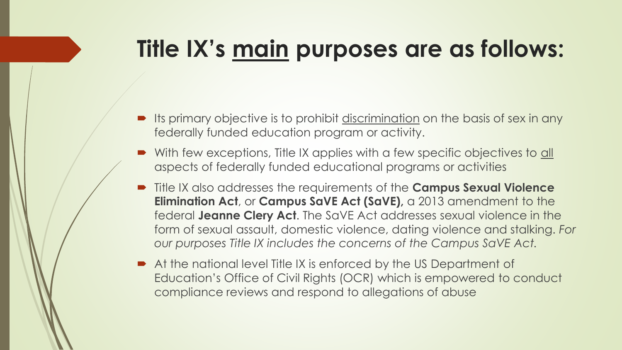# **Title IX's main purposes are as follows:**

- Its primary objective is to prohibit discrimination on the basis of sex in any federally funded education program or activity.
- With few exceptions, Title IX applies with a few specific objectives to all aspects of federally funded educational programs or activities
- Title IX also addresses the requirements of the **Campus Sexual Violence Elimination Act**, or **Campus SaVE Act (SaVE),** a 2013 amendment to the federal **Jeanne Clery Act**. The SaVE Act addresses sexual violence in the form of sexual assault, domestic violence, dating violence and stalking. *For our purposes Title IX includes the concerns of the Campus SaVE Act.*
- At the national level Title IX is enforced by the US Department of Education's Office of Civil Rights (OCR) which is empowered to conduct compliance reviews and respond to allegations of abuse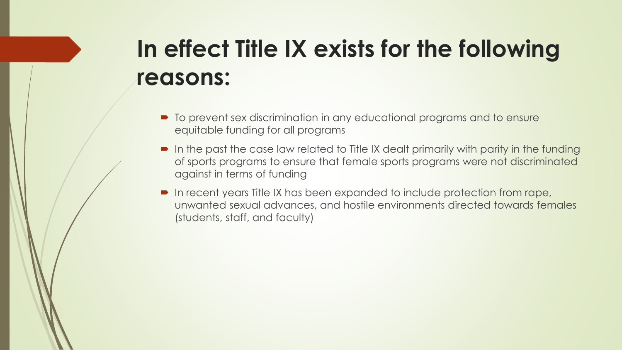# **In effect Title IX exists for the following reasons:**

- $\blacksquare$  To prevent sex discrimination in any educational programs and to ensure equitable funding for all programs
- In the past the case law related to Title IX dealt primarily with parity in the funding of sports programs to ensure that female sports programs were not discriminated against in terms of funding
- In recent years Title IX has been expanded to include protection from rape, unwanted sexual advances, and hostile environments directed towards females (students, staff, and faculty)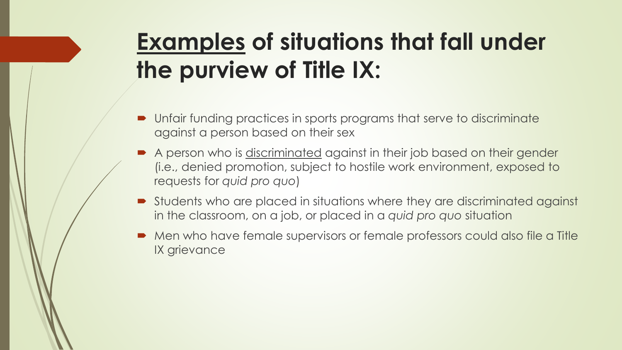## **Examples of situations that fall under the purview of Title IX:**

- Unfair funding practices in sports programs that serve to discriminate against a person based on their sex
- A person who is discriminated against in their job based on their gender (i.e., denied promotion, subject to hostile work environment, exposed to requests for *quid pro quo*)
- Students who are placed in situations where they are discriminated against in the classroom, on a job, or placed in a *quid pro quo* situation
- Men who have female supervisors or female professors could also file a Title IX grievance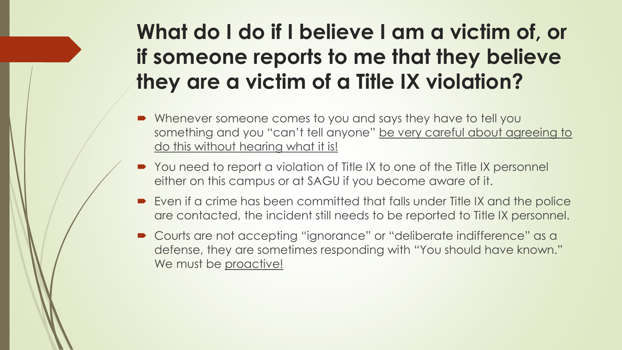#### **What do I do if I believe I am a victim of, or if someone reports to me that they believe they are a victim of a Title IX violation?**

- Whenever someone comes to you and says they have to tell you something and you "can't tell anyone" be very careful about agreeing to do this without hearing what it is!
- You need to report a violation of Title IX to one of the Title IX personnel either on this campus or at SAGU if you become aware of it.
- Even if a crime has been committed that falls under Title IX and the police are contacted, the incident still needs to be reported to Title IX personnel.
- Courts are not accepting "ignorance" or "deliberate indifference" as a defense, they are sometimes responding with "You should have known." We must be proactive!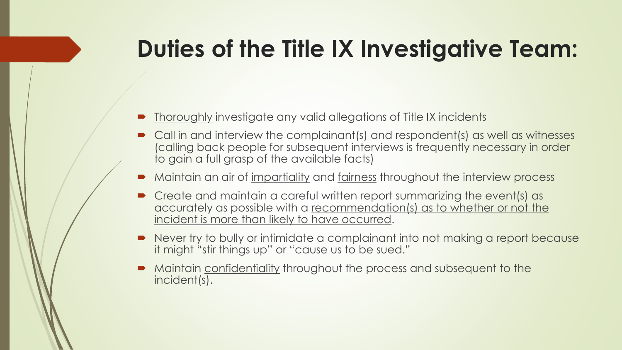## **Duties of the Title IX Investigative Team:**

- Thoroughly investigate any valid allegations of Title IX incidents
- Call in and interview the complainant(s) and respondent(s) as well as witnesses (calling back people for subsequent interviews is frequently necessary in order to gain a full grasp of the available facts)
- Maintain an air of impartiality and fairness throughout the interview process
- Create and maintain a careful written report summarizing the event(s) as accurately as possible with a recommendation(s) as to whether or not the incident is more than likely to have occurred.
- Never try to bully or intimidate a complainant into not making a report because it might "stir things up" or "cause us to be sued."
- Maintain confidentiality throughout the process and subsequent to the incident(s).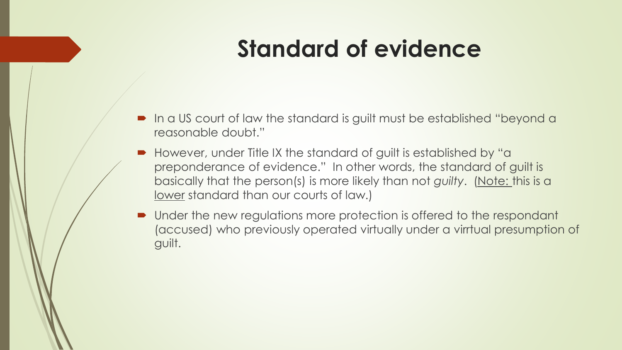### **Standard of evidence**

- In a US court of law the standard is guilt must be established "beyond a reasonable doubt."
- However, under Title IX the standard of guilt is established by "a preponderance of evidence." In other words, the standard of guilt is basically that the person(s) is more likely than not *guilty*. (Note: this is a lower standard than our courts of law.)
- Under the new regulations more protection is offered to the respondant (accused) who previously operated virtually under a virrtual presumption of guilt.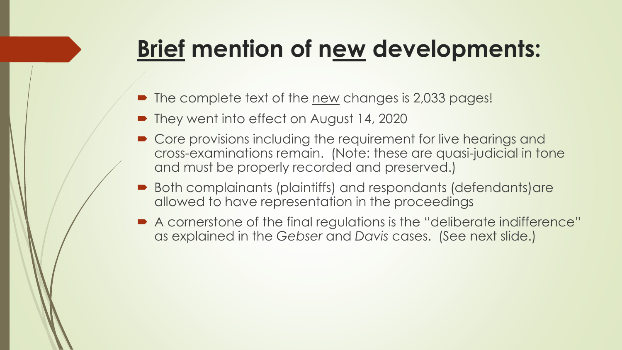## **Brief mention of new developments:**

- The complete text of the <u>new</u> changes is 2,033 pages!
- They went into effect on August 14, 2020
- **Core provisions including the requirement for live hearings and** cross-examinations remain. (Note: these are quasi-judicial in tone and must be properly recorded and preserved.)
- Both complainants (plaintiffs) and respondants (defendants)are allowed to have representation in the proceedings
- A cornerstone of the final regulations is the "deliberate indifference" as explained in the *Gebser* and *Davis* cases. (See next slide.)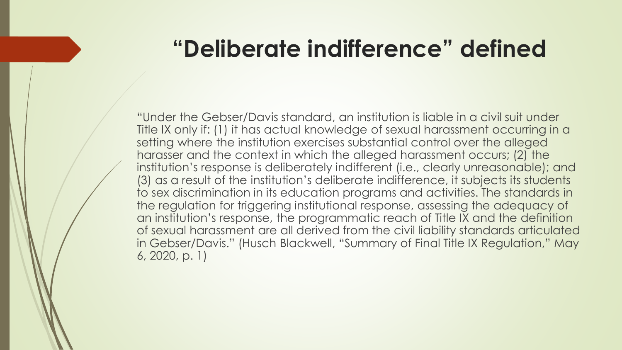#### **"Deliberate indifference" defined**

"Under the Gebser/Davis standard, an institution is liable in a civil suit under Title IX only if: (1) it has actual knowledge of sexual harassment occurring in a setting where the institution exercises substantial control over the alleged harasser and the context in which the alleged harassment occurs; (2) the institution's response is deliberately indifferent (i.e., clearly unreasonable); and (3) as a result of the institution's deliberate indifference, it subjects its students to sex discrimination in its education programs and activities. The standards in the regulation for triggering institutional response, assessing the adequacy of an institution's response, the programmatic reach of Title IX and the definition of sexual harassment are all derived from the civil liability standards articulated in Gebser/Davis." (Husch Blackwell, "Summary of Final Title IX Regulation," May 6, 2020, p. 1)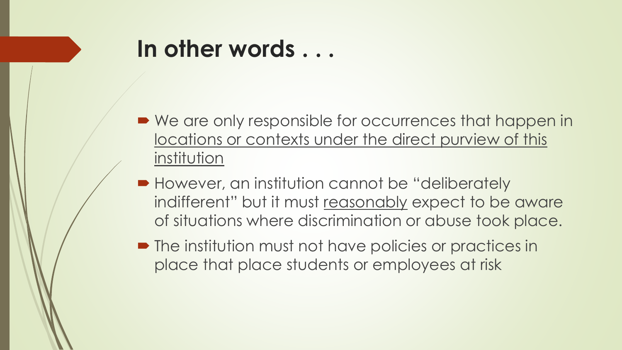#### **In other words . . .**

- We are only responsible for occurrences that happen in locations or contexts under the direct purview of this institution
- However, an institution cannot be "deliberately" indifferent" but it must reasonably expect to be aware of situations where discrimination or abuse took place.
- The institution must not have policies or practices in place that place students or employees at risk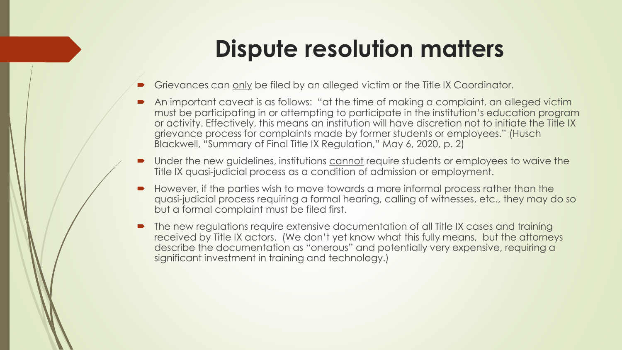#### **Dispute resolution matters**

- Grievances can only be filed by an alleged victim or the Title IX Coordinator.
- An important caveat is as follows: "at the time of making a complaint, an alleged victim must be participating in or attempting to participate in the institution's education program or activity. Effectively, this means an institution will have discretion not to initiate the Title IX grievance process for complaints made by former students or employees." (Husch Blackwell, "Summary of Final Title IX Regulation," May 6, 2020, p. 2)
- Under the new guidelines, institutions cannot require students or employees to waive the Title IX quasi-judicial process as a condition of admission or employment.
- However, if the parties wish to move towards a more informal process rather than the quasi-judicial process requiring a formal hearing, calling of witnesses, etc., they may do so but a formal complaint must be filed first.
- The new regulations require extensive documentation of all Title IX cases and training received by Title IX actors. (We don't yet know what this fully means, but the attorneys describe the documentation as "onerous" and potentially very expensive, requiring a significant investment in training and technology.)